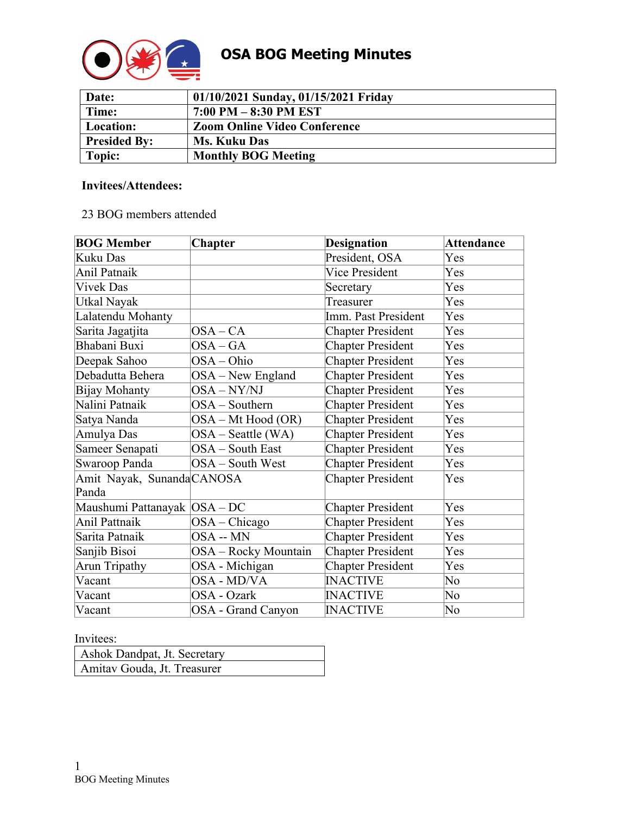

| Date:               | 01/10/2021 Sunday, 01/15/2021 Friday |
|---------------------|--------------------------------------|
| Time:               | $7:00$ PM $-8:30$ PM EST             |
| Location:           | <b>Zoom Online Video Conference</b>  |
| <b>Presided By:</b> | <b>Ms. Kuku Das</b>                  |
| Topic:              | <b>Monthly BOG Meeting</b>           |

## **Invitees/Attendees:**

## 23 BOG members attended

| <b>BOG Member</b>            | <b>Chapter</b>       | <b>Designation</b>       | <b>Attendance</b> |
|------------------------------|----------------------|--------------------------|-------------------|
| Kuku Das                     |                      | President, OSA           | Yes               |
| Anil Patnaik                 |                      | <b>Vice President</b>    | Yes               |
| Vivek Das                    |                      | Secretary                | Yes               |
| Utkal Nayak                  |                      | Treasurer                | Yes               |
| Lalatendu Mohanty            |                      | Imm. Past President      | Yes               |
| Sarita Jagatjita             | $OSA-CA$             | <b>Chapter President</b> | Yes               |
| Bhabani Buxi                 | $OSA-GA$             | <b>Chapter President</b> | Yes               |
| Deepak Sahoo                 | OSA-Ohio             | <b>Chapter President</b> | Yes               |
| Debadutta Behera             | $OSA - New England$  | <b>Chapter President</b> | Yes               |
| Bijay Mohanty                | OSA – NY/NJ          | Chapter President        | Yes               |
| Nalini Patnaik               | $OSA - Southern$     | <b>Chapter President</b> | Yes               |
| Satya Nanda                  | OSA – Mt Hood (OR)   | <b>Chapter President</b> | Yes               |
| Amulya Das                   | $OSA - Seattle (WA)$ | <b>Chapter President</b> | Yes               |
| Sameer Senapati              | OSA - South East     | <b>Chapter President</b> | Yes               |
| Swaroop Panda                | OSA - South West     | <b>Chapter President</b> | Yes               |
| Amit Nayak, Sunanda CANOSA   |                      | <b>Chapter President</b> | Yes               |
| Panda                        |                      |                          |                   |
| Maushumi Pattanayak OSA - DC |                      | Chapter President        | Yes               |
| Anil Pattnaik                | $OSA - Chicago$      | <b>Chapter President</b> | Yes               |
| Sarita Patnaik               | OSA -- MN            | Chapter President        | Yes               |
| Sanjib Bisoi                 | OSA - Rocky Mountain | Chapter President        | Yes               |
| Arun Tripathy                | OSA - Michigan       | Chapter President        | Yes               |
| Vacant                       | OSA - MD/VA          | <b>INACTIVE</b>          | No                |
| Vacant                       | OSA - Ozark          | <b>INACTIVE</b>          | No                |
| Vacant                       | OSA - Grand Canyon   | <b>INACTIVE</b>          | No                |

## Invitees:

| Ashok Dandpat, Jt. Secretary |
|------------------------------|
| Amitav Gouda, Jt. Treasurer  |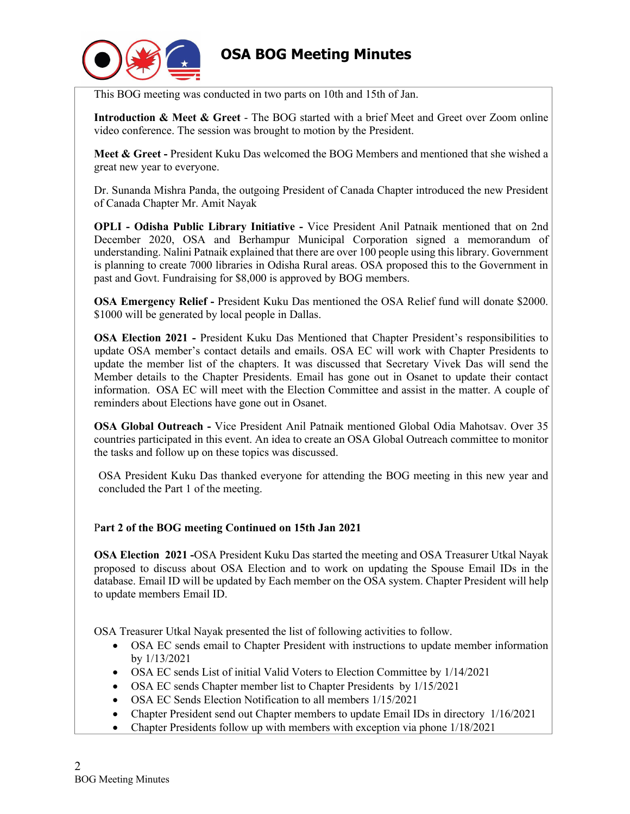

This BOG meeting was conducted in two parts on 10th and 15th of Jan.

**Introduction & Meet & Greet** - The BOG started with a brief Meet and Greet over Zoom online video conference. The session was brought to motion by the President.

**Meet & Greet -** President Kuku Das welcomed the BOG Members and mentioned that she wished a great new year to everyone.

Dr. Sunanda Mishra Panda, the outgoing President of Canada Chapter introduced the new President of Canada Chapter Mr. Amit Nayak

**OPLI - Odisha Public Library Initiative -** Vice President Anil Patnaik mentioned that on 2nd December 2020, OSA and Berhampur Municipal Corporation signed a memorandum of understanding. Nalini Patnaik explained that there are over 100 people using this library. Government is planning to create 7000 libraries in Odisha Rural areas. OSA proposed this to the Government in past and Govt. Fundraising for \$8,000 is approved by BOG members.

**OSA Emergency Relief -** President Kuku Das mentioned the OSA Relief fund will donate \$2000. \$1000 will be generated by local people in Dallas.

**OSA Election 2021 -** President Kuku Das Mentioned that Chapter President's responsibilities to update OSA member's contact details and emails. OSA EC will work with Chapter Presidents to update the member list of the chapters. It was discussed that Secretary Vivek Das will send the Member details to the Chapter Presidents. Email has gone out in Osanet to update their contact information. OSA EC will meet with the Election Committee and assist in the matter. A couple of reminders about Elections have gone out in Osanet.

**OSA Global Outreach -** Vice President Anil Patnaik mentioned Global Odia Mahotsav. Over 35 countries participated in this event. An idea to create an OSA Global Outreach committee to monitor the tasks and follow up on these topics was discussed.

OSA President Kuku Das thanked everyone for attending the BOG meeting in this new year and concluded the Part 1 of the meeting.

## P**art 2 of the BOG meeting Continued on 15th Jan 2021**

**OSA Election 2021 -**OSA President Kuku Das started the meeting and OSA Treasurer Utkal Nayak proposed to discuss about OSA Election and to work on updating the Spouse Email IDs in the database. Email ID will be updated by Each member on the OSA system. Chapter President will help to update members Email ID.

OSA Treasurer Utkal Nayak presented the list of following activities to follow.

- OSA EC sends email to Chapter President with instructions to update member information by 1/13/2021
- OSA EC sends List of initial Valid Voters to Election Committee by 1/14/2021
- OSA EC sends Chapter member list to Chapter Presidents by 1/15/2021
- OSA EC Sends Election Notification to all members 1/15/2021
- Chapter President send out Chapter members to update Email IDs in directory 1/16/2021
- Chapter Presidents follow up with members with exception via phone  $1/18/2021$